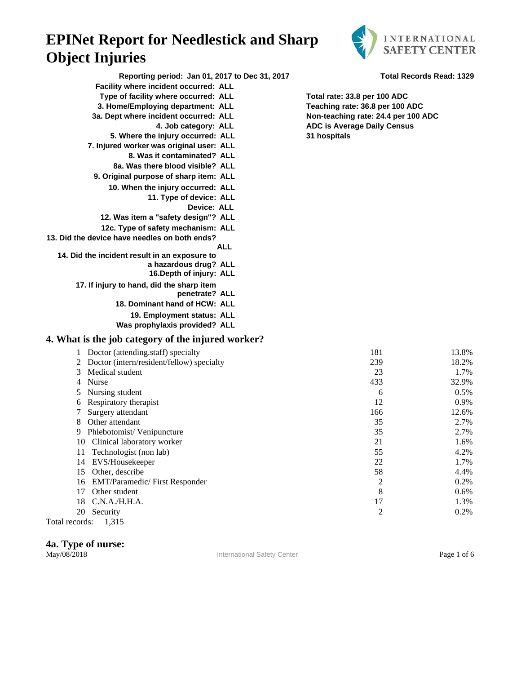

| Reporting period: Jan 01, 2017 to Dec 31, 2017     |                                     | <b>Total Records Read: 1329</b> |
|----------------------------------------------------|-------------------------------------|---------------------------------|
| Facility where incident occurred: ALL              |                                     |                                 |
| Type of facility where occurred: ALL               | Total rate: 33.8 per 100 ADC        |                                 |
| 3. Home/Employing department: ALL                  | Teaching rate: 36.8 per 100 ADC     |                                 |
| 3a. Dept where incident occurred: ALL              | Non-teaching rate: 24.4 per 100 ADC |                                 |
| 4. Job category: ALL                               | <b>ADC is Average Daily Census</b>  |                                 |
| 5. Where the injury occurred: ALL                  | 31 hospitals                        |                                 |
| 7. Injured worker was original user: ALL           |                                     |                                 |
| 8. Was it contaminated? ALL                        |                                     |                                 |
| 8a. Was there blood visible? ALL                   |                                     |                                 |
| 9. Original purpose of sharp item: ALL             |                                     |                                 |
| 10. When the injury occurred: ALL                  |                                     |                                 |
| 11. Type of device: ALL                            |                                     |                                 |
| <b>Device: ALL</b>                                 |                                     |                                 |
| 12. Was item a "safety design"? ALL                |                                     |                                 |
| 12c. Type of safety mechanism: ALL                 |                                     |                                 |
| 13. Did the device have needles on both ends?      |                                     |                                 |
| <b>ALL</b>                                         |                                     |                                 |
| 14. Did the incident result in an exposure to      |                                     |                                 |
| a hazardous drug? ALL                              |                                     |                                 |
| 16. Depth of injury: ALL                           |                                     |                                 |
| 17. If injury to hand, did the sharp item          |                                     |                                 |
| penetrate? ALL                                     |                                     |                                 |
| 18. Dominant hand of HCW: ALL                      |                                     |                                 |
| 19. Employment status: ALL                         |                                     |                                 |
| Was prophylaxis provided? ALL                      |                                     |                                 |
| 4. What is the job category of the injured worker? |                                     |                                 |
| 1 Doctor (attending.staff) specialty               | 181                                 | 13.8%                           |
| 2 Doctor (intern/resident/fellow) specialty        | 239                                 | 18.2%                           |
| Medical student<br>3                               | 23                                  | 1.7%                            |
| 4 Nurse                                            | 433                                 | 32.9%                           |
| 5 Nursing student                                  | 6                                   | 0.5%                            |
| 6 Respiratory therapist                            | 12                                  | 0.9%                            |
| 7 Surgery attendant                                | 166                                 | 12.6%                           |
| 8 Other attendant                                  | 35                                  | 2.7%                            |
| 9 Phlebotomist/Venipuncture                        | 35                                  | 2.7%                            |
| 10 Clinical laboratory worker                      | 21                                  | 1.6%                            |
| Technologist (non lab)<br>11                       | 55                                  | 4.2%                            |
| 14 EVS/Housekeeper                                 | 22                                  | 1.7%                            |
| 15 Other, describe                                 | 58                                  | 4.4%                            |
| 16 EMT/Paramedic/ First Responder                  | $\overline{2}$                      | 0.2%                            |

18 C.N.A./H.H.A. 17 1.3% 20 Security 2 0.2%

Total records: 1,315

**4a. Type of nurse:**

International Safety Center **Page 1 of 6** 

17 Other student 8 0.6%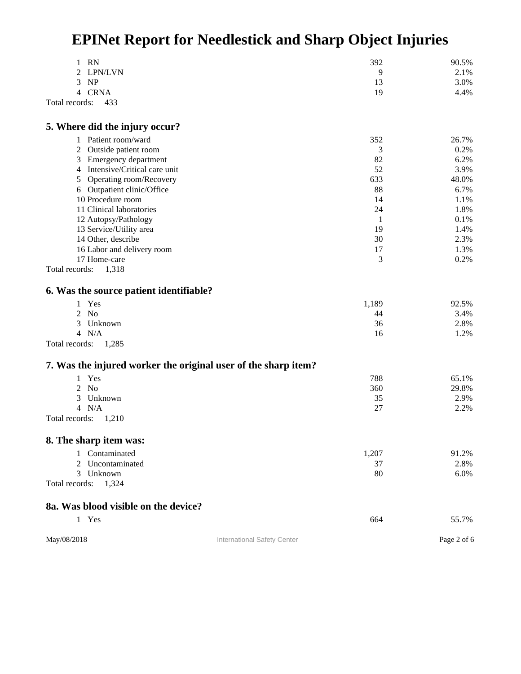| RN<br>1                                                  | 392                                                            | 90.5%       |
|----------------------------------------------------------|----------------------------------------------------------------|-------------|
| LPN/LVN<br>2                                             | 9                                                              | 2.1%        |
| 3<br><b>NP</b>                                           | 13                                                             | 3.0%        |
| 4 CRNA                                                   | 19                                                             | 4.4%        |
| Total records:<br>433                                    |                                                                |             |
| 5. Where did the injury occur?                           |                                                                |             |
| Patient room/ward                                        | 352                                                            | 26.7%       |
| 1                                                        |                                                                | 0.2%        |
| 2<br>Outside patient room                                | 3<br>82                                                        | 6.2%        |
| 3 Emergency department<br>4 Intensive/Critical care unit | 52                                                             | 3.9%        |
|                                                          |                                                                |             |
| Operating room/Recovery<br>5                             | 633                                                            | 48.0%       |
| 6 Outpatient clinic/Office                               | 88                                                             | 6.7%        |
| 10 Procedure room                                        | 14                                                             | 1.1%        |
| 11 Clinical laboratories                                 | 24                                                             | 1.8%        |
| 12 Autopsy/Pathology                                     | 1                                                              | 0.1%        |
| 13 Service/Utility area                                  | 19                                                             | 1.4%        |
| 14 Other, describe                                       | 30                                                             | 2.3%        |
| 16 Labor and delivery room                               | 17                                                             | 1.3%        |
| 17 Home-care                                             | 3                                                              | 0.2%        |
| Total records:<br>1,318                                  |                                                                |             |
| 6. Was the source patient identifiable?                  |                                                                |             |
| 1 Yes                                                    | 1,189                                                          | 92.5%       |
| <b>No</b><br>2                                           | 44                                                             | 3.4%        |
| 3<br>Unknown                                             | 36                                                             | 2.8%        |
| 4 N/A                                                    | 16                                                             | 1.2%        |
| Total records:<br>1,285                                  |                                                                |             |
|                                                          | 7. Was the injured worker the original user of the sharp item? |             |
| Yes<br>$\mathbf{1}$                                      | 788                                                            | 65.1%       |
| $2$ No                                                   | 360                                                            | 29.8%       |
| 3<br>Unknown                                             | 35                                                             | 2.9%        |
| 4 N/A                                                    | 27                                                             | 2.2%        |
| Total records:<br>1,210                                  |                                                                |             |
| 8. The sharp item was:                                   |                                                                |             |
| 1 Contaminated                                           | 1,207                                                          | 91.2%       |
| Uncontaminated<br>2                                      | 37                                                             | 2.8%        |
| Unknown<br>3                                             | 80                                                             | 6.0%        |
| Total records:<br>1,324                                  |                                                                |             |
| 8a. Was blood visible on the device?                     |                                                                |             |
| 1 Yes                                                    | 664                                                            | 55.7%       |
|                                                          |                                                                |             |
| May/08/2018                                              | International Safety Center                                    | Page 2 of 6 |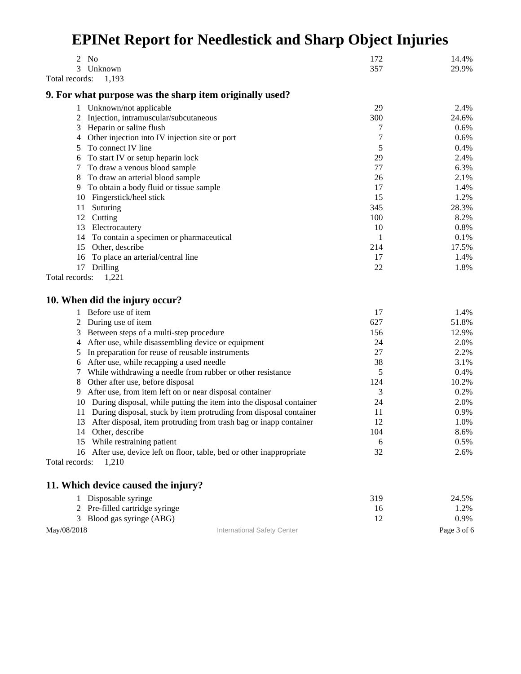| 2<br>N <sub>0</sub>                                                      | 172            | 14.4%       |
|--------------------------------------------------------------------------|----------------|-------------|
| 3<br>Unknown                                                             | 357            | 29.9%       |
| Total records:<br>1,193                                                  |                |             |
| 9. For what purpose was the sharp item originally used?                  |                |             |
| 1 Unknown/not applicable                                                 | 29             | 2.4%        |
| Injection, intramuscular/subcutaneous<br>2                               | 300            | 24.6%       |
| 3<br>Heparin or saline flush                                             | 7              | $0.6\%$     |
| Other injection into IV injection site or port<br>4                      | $\overline{7}$ | 0.6%        |
| To connect IV line<br>5                                                  | 5              | 0.4%        |
| To start IV or setup heparin lock<br>6                                   | 29             | 2.4%        |
| To draw a venous blood sample<br>7                                       | 77             | 6.3%        |
| To draw an arterial blood sample<br>8                                    | 26             | 2.1%        |
| 9 To obtain a body fluid or tissue sample                                | 17             | 1.4%        |
| 10 Fingerstick/heel stick                                                | 15             | 1.2%        |
| Suturing<br>11                                                           | 345            | 28.3%       |
| 12 Cutting                                                               | 100            | 8.2%        |
| 13 Electrocautery                                                        | 10             | 0.8%        |
| 14 To contain a specimen or pharmaceutical                               | 1              | 0.1%        |
| 15 Other, describe                                                       | 214            | 17.5%       |
| To place an arterial/central line<br>16                                  | 17             | 1.4%        |
| 17 Drilling                                                              | 22             | 1.8%        |
| Total records:<br>1,221                                                  |                |             |
|                                                                          |                |             |
| 10. When did the injury occur?                                           |                |             |
| Before use of item<br>1                                                  | 17             | 1.4%        |
| During use of item<br>2                                                  | 627            | 51.8%       |
| Between steps of a multi-step procedure<br>3                             | 156            | 12.9%       |
| After use, while disassembling device or equipment<br>4                  | 24             | 2.0%        |
| In preparation for reuse of reusable instruments<br>5                    | 27             | 2.2%        |
| 6 After use, while recapping a used needle                               | 38             | 3.1%        |
| 7 While withdrawing a needle from rubber or other resistance             | 5              | 0.4%        |
| Other after use, before disposal<br>8                                    | 124            | 10.2%       |
| 9 After use, from item left on or near disposal container                | 3              | 0.2%        |
| 10 During disposal, while putting the item into the disposal container   | 24             | 2.0%        |
| 11 During disposal, stuck by item protruding from disposal container     | 11             | 0.9%        |
| After disposal, item protruding from trash bag or inapp container<br>13  | 12             | 1.0%        |
| Other, describe<br>14                                                    | 104            | 8.6%        |
| 15 While restraining patient                                             | 6              | 0.5%        |
| After use, device left on floor, table, bed or other inappropriate<br>16 | 32             | 2.6%        |
| Total records:<br>1,210                                                  |                |             |
| 11. Which device caused the injury?                                      |                |             |
| 1 Disposable syringe                                                     | 319            | 24.5%       |
| 2 Pre-filled cartridge syringe                                           |                |             |
|                                                                          | 16             | 1.2%        |
| 3 Blood gas syringe (ABG)                                                | 12             | 0.9%        |
| May/08/2018<br>International Safety Center                               |                | Page 3 of 6 |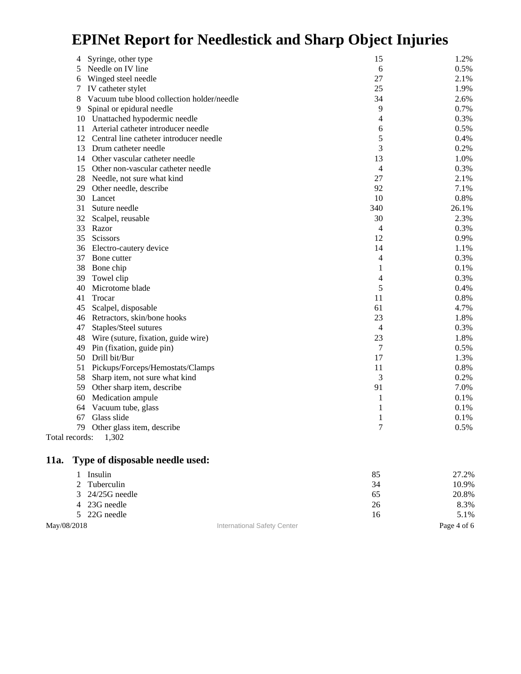| Syringe, other type<br>4                        | 15             | 1.2%  |
|-------------------------------------------------|----------------|-------|
| Needle on IV line<br>5                          | 6              | 0.5%  |
| Winged steel needle<br>6                        | 27             | 2.1%  |
| IV catheter stylet<br>7                         | 25             | 1.9%  |
| Vacuum tube blood collection holder/needle<br>8 | 34             | 2.6%  |
| Spinal or epidural needle<br>9                  | 9              | 0.7%  |
| 10 Unattached hypodermic needle                 | 4              | 0.3%  |
| Arterial catheter introducer needle<br>11       | 6              | 0.5%  |
| 12 Central line catheter introducer needle      | 5              | 0.4%  |
| 13 Drum catheter needle                         | 3              | 0.2%  |
| 14 Other vascular catheter needle               | 13             | 1.0%  |
| 15 Other non-vascular catheter needle           | 4              | 0.3%  |
| 28 Needle, not sure what kind                   | 27             | 2.1%  |
| 29<br>Other needle, describe                    | 92             | 7.1%  |
| 30 Lancet                                       | 10             | 0.8%  |
| 31<br>Suture needle                             | 340            | 26.1% |
| 32 Scalpel, reusable                            | 30             | 2.3%  |
| 33 Razor                                        | 4              | 0.3%  |
| 35 Scissors                                     | 12             | 0.9%  |
| 36 Electro-cautery device                       | 14             | 1.1%  |
| 37<br>Bone cutter                               | 4              | 0.3%  |
| 38<br>Bone chip                                 | 1              | 0.1%  |
| 39<br>Towel clip                                | 4              | 0.3%  |
| Microtome blade<br>40                           | 5              | 0.4%  |
| 41<br>Trocar                                    | 11             | 0.8%  |
| Scalpel, disposable<br>45                       | 61             | 4.7%  |
| Retractors, skin/bone hooks<br>46               | 23             | 1.8%  |
| 47<br>Staples/Steel sutures                     | 4              | 0.3%  |
| Wire (suture, fixation, guide wire)<br>48       | 23             | 1.8%  |
| 49<br>Pin (fixation, guide pin)                 | 7              | 0.5%  |
| Drill bit/Bur<br>50                             | 17             | 1.3%  |
| Pickups/Forceps/Hemostats/Clamps<br>51          | 11             | 0.8%  |
| 58<br>Sharp item, not sure what kind            | 3              | 0.2%  |
| 59<br>Other sharp item, describe                | 91             | 7.0%  |
| 60<br>Medication ampule                         | $\mathbf{1}$   | 0.1%  |
| 64<br>Vacuum tube, glass                        | 1              | 0.1%  |
| Glass slide<br>67                               | 1              | 0.1%  |
| 79<br>Other glass item, describe                | $\overline{7}$ | 0.5%  |
| 1,302<br>Total records:                         |                |       |

#### **11a. Type of disposable needle used:**

|             | Insulin                |                             | 85 | 27.2%       |
|-------------|------------------------|-----------------------------|----|-------------|
|             | 2 Tuberculin           |                             | 34 | 10.9%       |
|             | $3\quad 24/25G$ needle |                             | 65 | 20.8%       |
|             | 4 23G needle           |                             | 26 | 8.3%        |
|             | 5 22G needle           |                             | 16 | 5.1%        |
| May/08/2018 |                        | International Safety Center |    | Page 4 of 6 |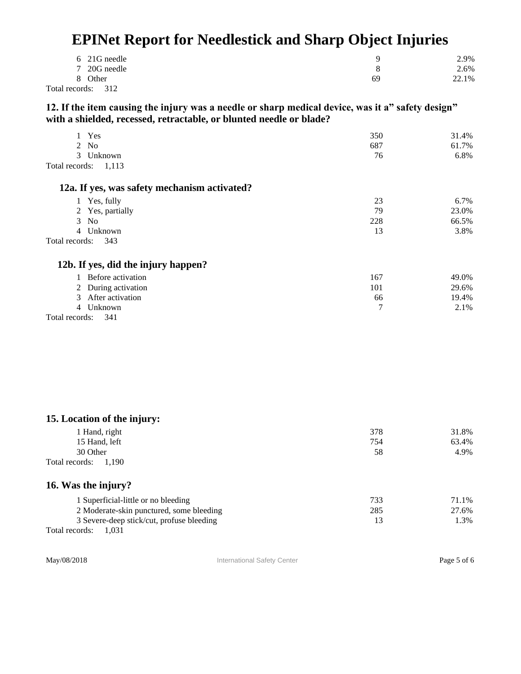| 6 21G needle       | u  | 2.9%  |
|--------------------|----|-------|
| 7 20G needle       | 8  | 2.6%  |
| 8 Other            | 69 | 22.1% |
| Total records: 312 |    |       |

**12. If the item causing the injury was a needle or sharp medical device, was it a" safety design" with a shielded, recessed, retractable, or blunted needle or blade?** 

| Yes                                          | 350 | 31.4% |
|----------------------------------------------|-----|-------|
| 2 No                                         | 687 | 61.7% |
| Unknown<br>$\mathcal{E}$                     | 76  | 6.8%  |
| Total records:<br>1,113                      |     |       |
| 12a. If yes, was safety mechanism activated? |     |       |
| 1 Yes, fully                                 | 23  | 6.7%  |
| 2 Yes, partially                             | 79  | 23.0% |
| $3$ No                                       | 228 | 66.5% |
| Unknown<br>$\overline{4}$                    | 13  | 3.8%  |
| Total records:<br>343                        |     |       |
| 12b. If yes, did the injury happen?          |     |       |
| Before activation                            | 167 | 49.0% |
| During activation<br>2                       | 101 | 29.6% |
| After activation<br>3                        | 66  | 19.4% |
| Unknown<br>4                                 | 7   | 2.1%  |
| Total records:<br>341                        |     |       |

| 15. Location of the injury: |     |       |
|-----------------------------|-----|-------|
| 1 Hand, right               | 378 | 31.8% |
| 15 Hand, left               | 754 | 63.4% |
| 30 Other                    | 58  | 4.9%  |
| Total records: 1,190        |     |       |
| 16. Was the injury?         |     |       |

| 1 Superficial-little or no bleeding       | 733 | 71.1% |
|-------------------------------------------|-----|-------|
| 2 Moderate-skin punctured, some bleeding  | 285 | 27.6% |
| 3 Severe-deep stick/cut, profuse bleeding |     | 1.3%  |
| Total records:<br>1.031                   |     |       |

May/08/2018 **International Safety Center** Page 5 of 6